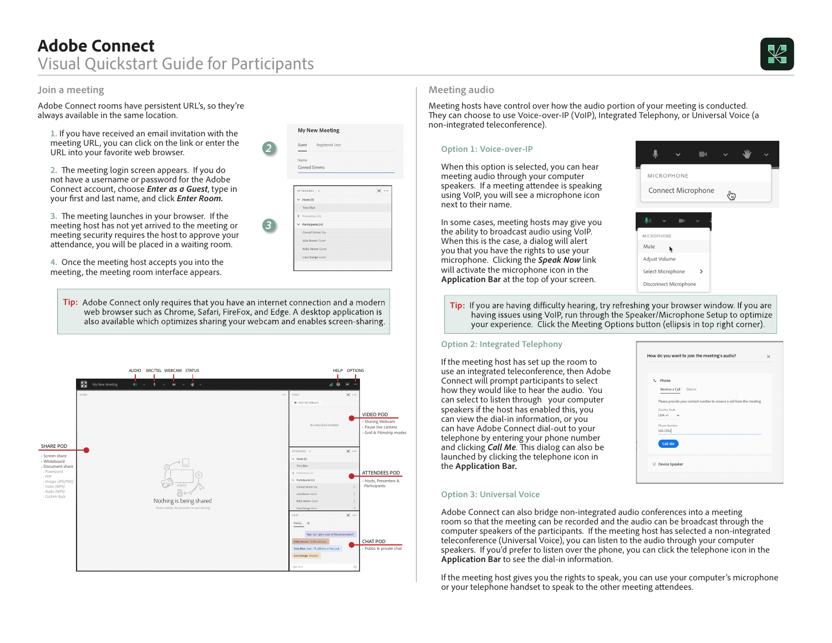Adobe Connect rooms have persistent URL's, so they're always available in the same location.

**1.** If you have received an email invitation with the meeting URL, you can click on the link or enter the URL into your favorite web browser.

**2.** The meeting login screen appears. If you do not have a username or password for the Adobe Connect account, choose *Enter as a Guest*, type in your first and last name, and click *Enter Room.*

**3.** The meeting launches in your browser. If the meeting host has not yet arrived to the meeting or meeting security requires the host to approve your attendance, you will be placed in a waiting room.

**4.** Once the meeting host accepts you into the meeting, the meeting room interface appears.

**Tip:** Adobe Connect only requires that you have an internet connection and a modern<br>web browser such as Chrome, Safari, FireFox, and Edge. A desktop application is<br>having issues using VoID run through the Speaker/Micropho also available which optimizes sharing your webcam and enables screen-sharing.

*2*

**My New Meeting** 

Guest 

Name Conrad Simms

TTENDEES -

Hosts  $(1)$ Tony Blue

Participants (4) Conrad Simms You

Julie Brown Guest

Kelly Varsen Gues Lisa Orange Guest  $\equiv$  .

*3*





Meeting hosts have control over how the audio portion of your meeting is conducted. They can choose to use Voice-over-IP (VoIP), Integrated Telephony, or Universal Voice (a non-integrated teleconference).

### **Option 1: Voice-over-IP**

When this option is selected, you can hear meeting audio through your computer speakers. If a meeting attendee is speaking using VoIP, you will see a microphone icon next to their name.

In some cases, meeting hosts may give you the ability to broadcast audio using VoIP. When this is the case, a dialog will alert you that you have the rights to use your microphone. Clicking the *Speak Now* link will activate the microphone icon in the **Application Bar** at the top of your screen.



having issues using VoIP, run through the Speaker/Microphone Setup to optimize your experience. Click the Meeting Options button (ellipsis in top right corner).

#### **Option 2: Integrated Telephony**

If the meeting host has set up the room to use an integrated teleconference, then Adobe Connect will prompt participants to select how they would like to hear the audio. You can select to listen through your computer speakers if the host has enabled this, you can view the dial-in information, or you can have Adobe Connect dial-out to your telephone by entering your phone number and clicking *Call Me.* This dialog can also be launched by clicking the telephone icon in the **Application Bar.**



#### **Option 3: Universal Voice**

Adobe Connect can also bridge non-integrated audio conferences into a meeting room so that the meeting can be recorded and the audio can be broadcast through the computer speakers of the participants. If the meeting host has selected a non-integrated teleconference (Universal Voice), you can listen to the audio through your computer speakers. If you'd prefer to listen over the phone, you can click the telephone icon in the **Application Bar** to see the dial-in information.

If the meeting host gives you the rights to speak, you can use your computer's microphone or your telephone handset to speak to the other meeting attendees.